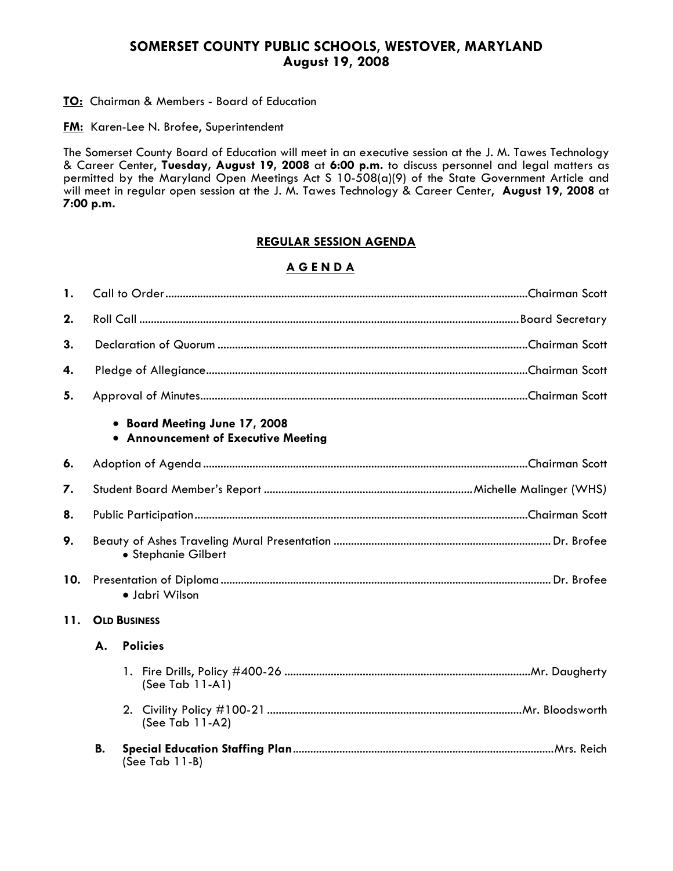# **SOMERSET COUNTY PUBLIC SCHOOLS, WESTOVER, MARYLAND August 19, 2008**

### **TO:** Chairman & Members - Board of Education

**FM:** Karen-Lee N. Brofee, Superintendent

The Somerset County Board of Education will meet in an executive session at the J. M. Tawes Technology & Career Center, **Tuesday, August 19, 2008** at **6:00 p.m.** to discuss personnel and legal matters as permitted by the Maryland Open Meetings Act S 10-508(a)(9) of the State Government Article and will meet in regular open session at the J. M. Tawes Technology & Career Center, **August 19, 2008** at **7:00 p.m.**

# **REGULAR SESSION AGENDA**

# **A G E N D A**

| 1.  |                                                                      |                   |  |
|-----|----------------------------------------------------------------------|-------------------|--|
| 2.  |                                                                      |                   |  |
| 3.  |                                                                      |                   |  |
| 4.  |                                                                      |                   |  |
| 5.  |                                                                      |                   |  |
|     | • Board Meeting June 17, 2008<br>• Announcement of Executive Meeting |                   |  |
| 6.  |                                                                      |                   |  |
| 7.  |                                                                      |                   |  |
| 8.  |                                                                      |                   |  |
| 9.  | · Stephanie Gilbert                                                  |                   |  |
| 10. | · Jabri Wilson                                                       |                   |  |
| 11. | <b>OLD BUSINESS</b>                                                  |                   |  |
|     | А.                                                                   | <b>Policies</b>   |  |
|     |                                                                      | (See Tab 11-A1)   |  |
|     |                                                                      | (See Tab 11-A2)   |  |
|     | В.                                                                   | (See Tab $11-B$ ) |  |